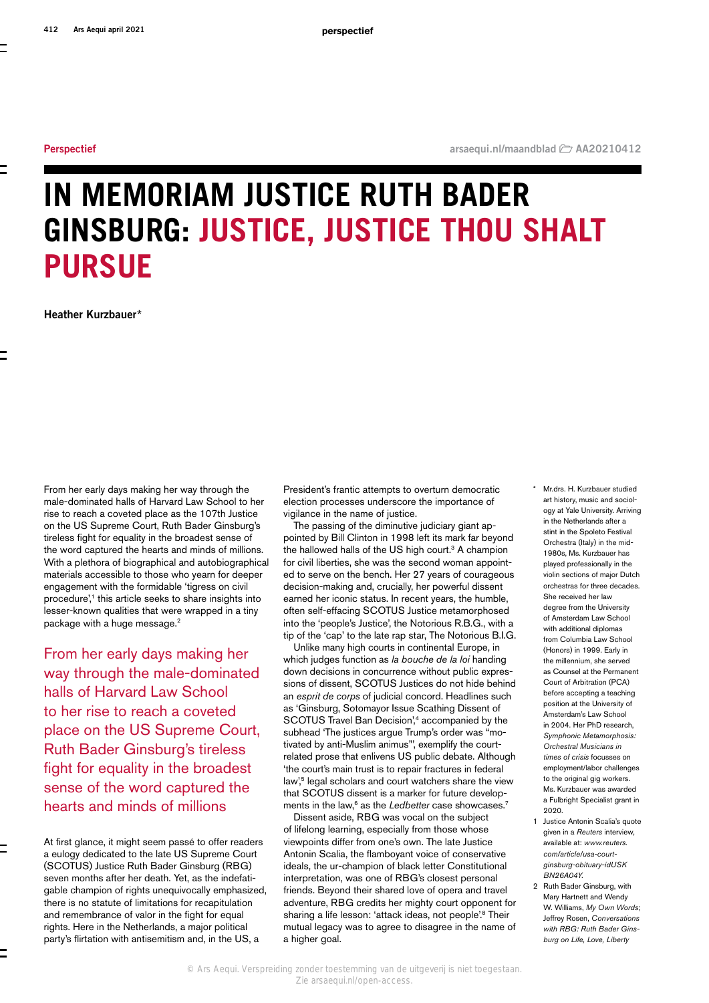# <span id="page-0-2"></span>**IN MEMORIAM JUSTICE RUTH BADER GINSBURG: JUSTICE, JUSTICE THOU SHALT PURSUE**

<span id="page-0-1"></span>**Heather Kurzbauer[\\*](#page-0-0)**

From her early days making her way through the male-dominated halls of Harvard Law School to her rise to reach a coveted place as the 107th Justice on the US Supreme Court, Ruth Bader Ginsburg's tireless fight for equality in the broadest sense of the word captured the hearts and minds of millions. With a plethora of biographical and autobiographical materials accessible to those who yearn for deeper engagement with the formidable 'tigress on civil procedure',<sup>1</sup> this article seeks to share insights into lesser-known qualities that were wrapped in a tiny package with a huge message.<sup>2</sup>

From her early days making her way through the male-dominated halls of Harvard Law School to her rise to reach a coveted place on the US Supreme Court, Ruth Bader Ginsburg's tireless fight for equality in the broadest sense of the word captured the hearts and minds of millions

At first glance, it might seem passé to offer readers a eulogy dedicated to the late US Supreme Court (SCOTUS) Justice Ruth Bader Ginsburg (RBG) seven months after her death. Yet, as the indefatigable champion of rights unequivocally emphasized, there is no statute of limitations for recapitulation and remembrance of valor in the fight for equal rights. Here in the Netherlands, a major political party's flirtation with antisemitism and, in the US, a

President's frantic attempts to overturn democratic election processes underscore the importance of vigilance in the name of justice.

The passing of the diminutive judiciary giant appointed by Bill Clinton in 1998 left its mark far beyond the hallowed halls of the US high court.<sup>3</sup> A champion for civil liberties, she was the second woman appointed to serve on the bench. Her 27 years of courageous decision-making and, crucially, her powerful dissent earned her iconic status. In recent years, the humble, often self-effacing SCOTUS Justice metamorphosed into the 'people's Justice', the Notorious R.B.G., with a tip of the 'cap' to the late rap star, The Notorious B.I.G.

Unlike many high courts in continental Europe, in which judges function as *la bouche de la loi* handing down decisions in concurrence without public expressions of dissent, SCOTUS Justices do not hide behind an *esprit de corps* of judicial concord. Headlines such as 'Ginsburg, Sotomayor Issue Scathing Dissent of SCOTUS Travel Ban Decision',<sup>4</sup> accompanied by the subhead 'The justices argue Trump's order was "motivated by anti-Muslim animus"', exemplify the courtrelated prose that enlivens US public debate. Although 'the court's main trust is to repair fractures in federal law',<sup>5</sup> legal scholars and court watchers share the view that SCOTUS dissent is a marker for future developments in the law,<sup>6</sup> as the *Ledbetter* case showcases.<sup>7</sup>

Dissent aside, RBG was vocal on the subject of lifelong learning, especially from those whose viewpoints differ from one's own. The late Justice Antonin Scalia, the flamboyant voice of conservative ideals, the ur-champion of black letter Constitutional interpretation, was one of RBG's closest personal friends. Beyond their shared love of opera and travel adventure, RBG credits her mighty court opponent for sharing a life lesson: 'attack ideas, not people'.<sup>8</sup> Their mutual legacy was to agree to disagree in the name of a higher goal.

- <span id="page-0-0"></span>Mr.drs. H. Kurzbauer studied art history, music and sociology at Yale University. Arriving in the Netherlands after a stint in the Spoleto Festival Orchestra (Italy) in the mid-1980s, Ms. Kurzbauer has played professionally in the violin sections of major Dutch orchestras for three decades. She received her law degree from the University of Amsterdam Law School with additional diplomas from Columbia Law School (Honors) in 1999. Early in the millennium, she served as Counsel at the Permanent Court of Arbitration (PCA) before accepting a teaching position at the University of Amsterdam's Law School in 2004. Her PhD research, *Symphonic Metamorphosis: Orchestral Musicians in times of crisis* focusses on employment/labor challenges to the original gig workers. Ms. Kurzbauer was awarded a Fulbright Specialist grant in 2020.
- 1 Justice Antonin Scalia's quote given in a *Reuters* interview, available at: *[www.reuters.](https://www.reuters.com/article/usa-court-ginsburg-obituary-idUSKBN26A04Y) [com/article/usa-court](https://www.reuters.com/article/usa-court-ginsburg-obituary-idUSKBN26A04Y)[ginsburg-obituary-idUSK](https://www.reuters.com/article/usa-court-ginsburg-obituary-idUSKBN26A04Y) [BN26A04Y](https://www.reuters.com/article/usa-court-ginsburg-obituary-idUSKBN26A04Y).*
- 2 Ruth Bader Ginsburg, with Mary Hartnett and Wendy W. Williams, *My Own Words*; Jeffrey Rosen, *Conversations with RBG: Ruth Bader Ginsburg on Life, Love, Liberty*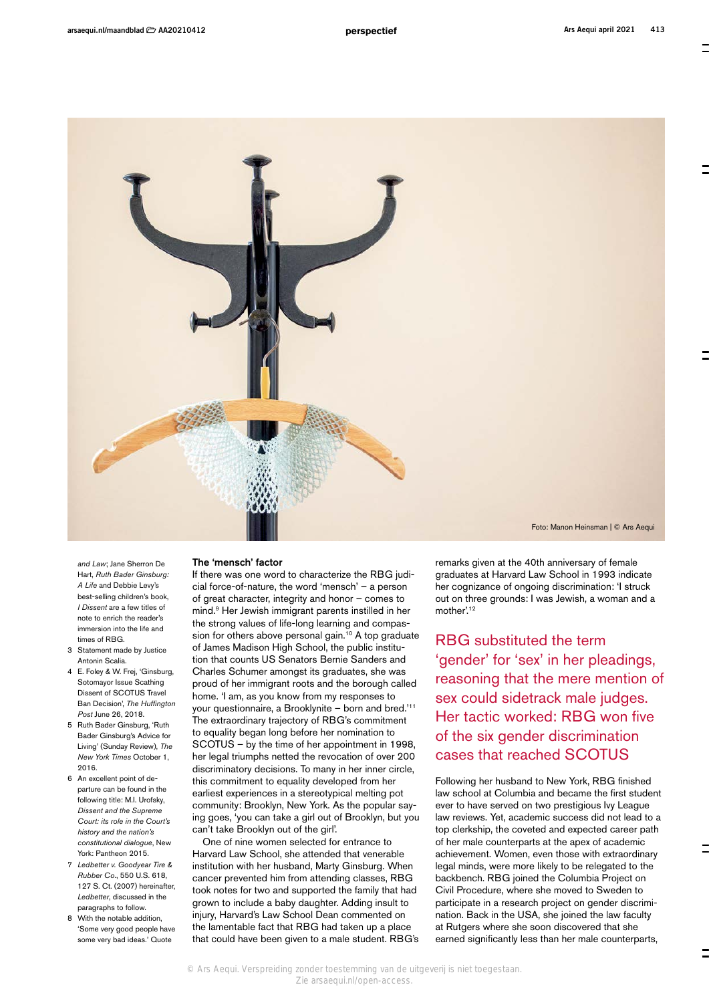

*and Law*; Jane Sherron De Hart, *Ruth Bader Ginsburg: A Life* and Debbie Levy's best-selling children's book, *I Dissent* are a few titles of note to enrich the reader's immersion into the life and times of RBG.

- 3 Statement made by Justice Antonin Scalia.
- 4 E. Foley & W. Frej, 'Ginsburg, Sotomayor Issue Scathing Dissent of SCOTUS Travel Ban Decision', *The Huffington Post* June 26, 2018.
- 5 Ruth Bader Ginsburg, 'Ruth Bader Ginsburg's Advice for Living' (Sunday Review), *The New York Times* October 1, 2016.
- 6 An excellent point of departure can be found in the following title: M.I. Urofsky, *Dissent and the Supreme Court: its role in the Court's history and the nation's constitutional dialogue*, New York: Pantheon 2015.
- 7 *Ledbetter v. Goodyear Tire & Rubber Co*., 550 U.S. 618, 127 S. Ct. (2007) hereinafter, *Ledbetter*, discussed in the paragraphs to follow.
- 8 With the notable addition, 'Some very good people have some very bad ideas.' Quote

#### The 'mensch' factor

If there was one word to characterize the RBG judicial force-of-nature, the word 'mensch' – a person of great character, integrity and honor – comes to mind.9 Her Jewish immigrant parents instilled in her the strong values of life-long learning and compassion for others above personal gain.<sup>10</sup> A top graduate of James Madison High School, the public institution that counts US Senators Bernie Sanders and Charles Schumer amongst its graduates, she was proud of her immigrant roots and the borough called home. 'I am, as you know from my responses to your questionnaire, a Brooklynite – born and bred.'11 The extraordinary trajectory of RBG's commitment to equality began long before her nomination to SCOTUS – by the time of her appointment in 1998, her legal triumphs netted the revocation of over 200 discriminatory decisions. To many in her inner circle, this commitment to equality developed from her earliest experiences in a stereotypical melting pot community: Brooklyn, New York. As the popular saying goes, 'you can take a girl out of Brooklyn, but you can't take Brooklyn out of the girl'.

One of nine women selected for entrance to Harvard Law School, she attended that venerable institution with her husband, Marty Ginsburg. When cancer prevented him from attending classes, RBG took notes for two and supported the family that had grown to include a baby daughter. Adding insult to injury, Harvard's Law School Dean commented on the lamentable fact that RBG had taken up a place that could have been given to a male student. RBG's remarks given at the 40th anniversary of female graduates at Harvard Law School in 1993 indicate her cognizance of ongoing discrimination: 'I struck out on three grounds: I was Jewish, a woman and a mother<sup>'12</sup>

RBG substituted the term 'gender' for 'sex' in her pleadings, reasoning that the mere mention of sex could sidetrack male judges. Her tactic worked: RBG won five of the six gender discrimination cases that reached SCOTUS

Following her husband to New York, RBG finished law school at Columbia and became the first student ever to have served on two prestigious Ivy League law reviews. Yet, academic success did not lead to a top clerkship, the coveted and expected career path of her male counterparts at the apex of academic achievement. Women, even those with extraordinary legal minds, were more likely to be relegated to the backbench. RBG joined the Columbia Project on Civil Procedure, where she moved to Sweden to participate in a research project on gender discrimination. Back in the USA, she joined the law faculty at Rutgers where she soon discovered that she earned significantly less than her male counterparts,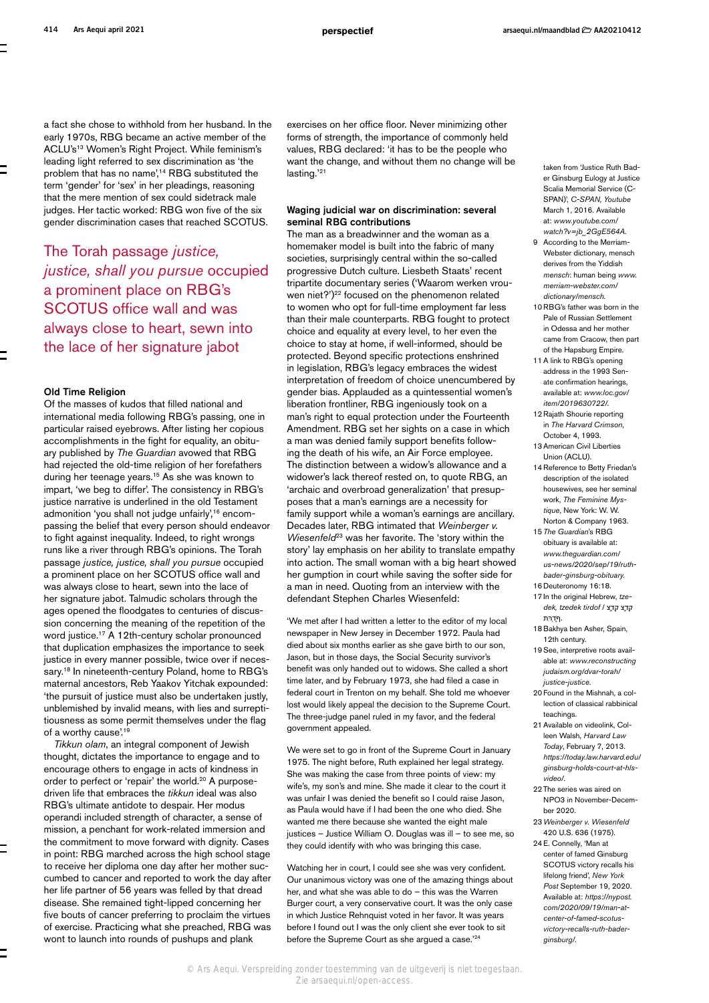a fact she chose to withhold from her husband. In the early 1970s, RBG became an active member of the ACLU's<sup>13</sup> Women's Right Project. While feminism's leading light referred to sex discrimination as 'the problem that has no name',<sup>14</sup> RBG substituted the term 'gender' for 'sex' in her pleadings, reasoning that the mere mention of sex could sidetrack male judges. Her tactic worked: RBG won five of the six gender discrimination cases that reached SCOTUS.

The Torah passage *justice, justice, shall you pursue* occupied a prominent place on RBG's SCOTUS office wall and was always close to heart, sewn into the lace of her signature jabot

#### Old Time Religion

Of the masses of kudos that filled national and international media following RBG's passing, one in particular raised eyebrows. After listing her copious accomplishments in the fight for equality, an obituary published by *The Guardian* avowed that RBG had rejected the old-time religion of her forefathers during her teenage years.15 As she was known to impart, 'we beg to differ'. The consistency in RBG's justice narrative is underlined in the old Testament admonition 'you shall not judge unfairly',<sup>16</sup> encompassing the belief that every person should endeavor to fight against inequality. Indeed, to right wrongs runs like a river through RBG's opinions. The Torah passage *justice, justice, shall you pursue* occupied a prominent place on her SCOTUS office wall and was always close to heart, sewn into the lace of her signature jabot. Talmudic scholars through the ages opened the floodgates to centuries of discussion concerning the meaning of the repetition of the word justice.17 A 12th-century scholar pronounced that duplication emphasizes the importance to seek justice in every manner possible, twice over if necessary.<sup>18</sup> In nineteenth-century Poland, home to RBG's maternal ancestors, Reb Yaakov Yitchak expounded: 'the pursuit of justice must also be undertaken justly, unblemished by invalid means, with lies and surreptitiousness as some permit themselves under the flag of a worthy cause'.<sup>19</sup>

*Tikkun olam*, an integral component of Jewish thought, dictates the importance to engage and to encourage others to engage in acts of kindness in order to perfect or 'repair' the world.<sup>20</sup> A purposedriven life that embraces the *tikkun* ideal was also RBG's ultimate antidote to despair. Her modus operandi included strength of character, a sense of mission, a penchant for work-related immersion and the commitment to move forward with dignity. Cases in point: RBG marched across the high school stage to receive her diploma one day after her mother succumbed to cancer and reported to work the day after her life partner of 56 years was felled by that dread disease. She remained tight-lipped concerning her five bouts of cancer preferring to proclaim the virtues of exercise. Practicing what she preached, RBG was wont to launch into rounds of pushups and plank

exercises on her office floor. Never minimizing other forms of strength, the importance of commonly held values, RBG declared: 'it has to be the people who want the change, and without them no change will be lasting.'21

#### Waging judicial war on discrimination: several seminal RBG contributions

The man as a breadwinner and the woman as a homemaker model is built into the fabric of many societies, surprisingly central within the so-called progressive Dutch culture. Liesbeth Staats' recent tripartite documentary series ('Waarom werken vrouwen niet?')<sup>22</sup> focused on the phenomenon related to women who opt for full-time employment far less than their male counterparts. RBG fought to protect choice and equality at every level, to her even the choice to stay at home, if well-informed, should be protected. Beyond specific protections enshrined in legislation, RBG's legacy embraces the widest interpretation of freedom of choice unencumbered by gender bias. Applauded as a quintessential women's liberation frontliner, RBG ingeniously took on a man's right to equal protection under the Fourteenth Amendment. RBG set her sights on a case in which a man was denied family support benefits following the death of his wife, an Air Force employee. The distinction between a widow's allowance and a widower's lack thereof rested on, to quote RBG, an 'archaic and overbroad generalization' that presupposes that a man's earnings are a necessity for family support while a woman's earnings are ancillary. Decades later, RBG intimated that *Weinberger v. Wiesenfeld*<sup>23</sup> was her favorite. The 'story within the story' lay emphasis on her ability to translate empathy into action. The small woman with a big heart showed her gumption in court while saving the softer side for a man in need. Quoting from an interview with the defendant Stephen Charles Wiesenfeld:

'We met after I had written a letter to the editor of my local newspaper in New Jersey in December 1972. Paula had died about six months earlier as she gave birth to our son, Jason, but in those days, the Social Security survivor's benefit was only handed out to widows. She called a short time later, and by February 1973, she had filed a case in federal court in Trenton on my behalf. She told me whoever lost would likely appeal the decision to the Supreme Court. The three-judge panel ruled in my favor, and the federal government appealed.

We were set to go in front of the Supreme Court in January 1975. The night before, Ruth explained her legal strategy. She was making the case from three points of view: my wife's, my son's and mine. She made it clear to the court it was unfair I was denied the benefit so I could raise Jason, as Paula would have if I had been the one who died. She wanted me there because she wanted the eight male justices – Justice William O. Douglas was ill – to see me, so they could identify with who was bringing this case.

Watching her in court, I could see she was very confident. Our unanimous victory was one of the amazing things about her, and what she was able to do – this was the Warren Burger court, a very conservative court. It was the only case in which Justice Rehnquist voted in her favor. It was years before I found out I was the only client she ever took to sit before the Supreme Court as she argued a case.'24

taken from 'Justice Ruth Bader Ginsburg Eulogy at Justice Scalia Memorial Service (C-SPAN)', *C-SPAN, Youtube* March 1, 2016. Available at: *[www.youtube.com/](https://www.youtube.com/watch?v=jb_2GgE564A) [watch?v=jb\\_2GgE564A.](https://www.youtube.com/watch?v=jb_2GgE564A)*

- 9 According to the Merriam-Webster dictionary, mensch derives from the Yiddish *mensch*: human being *[www.](https://www.merriam-webster.com/dictionary/mensch) [merriam-webster.com/](https://www.merriam-webster.com/dictionary/mensch) [dictionary/mensch](https://www.merriam-webster.com/dictionary/mensch).*
- 10RBG's father was born in the Pale of Russian Settlement in Odessa and her mother came from Cracow, then part of the Hapsburg Empire.
- 11A link to RBG's opening address in the 1993 Senate confirmation hearings, available at: *[www.loc.gov/](https://www.loc.gov/item/2019630722/) [item/2019630722/](https://www.loc.gov/item/2019630722/).*
- 12Rajath Shourie reporting in *The Harvard Crimson*, October 4, 1993.
- 13American Civil Liberties Union (ACLU).
- 14Reference to Betty Friedan's description of the isolated housewives, see her seminal work, *The Feminine Mystique*, New York: W. W. Norton & Company 1963.
- 15*The Guardian*'s RBG obituary is available at: *[www.theguardian.com/](https://www.theguardian.com/us-news/2020/sep/19/ruth-bader-ginsburg-obituary) [us-news/2020/sep/19/ruth](https://www.theguardian.com/us-news/2020/sep/19/ruth-bader-ginsburg-obituary)[bader-ginsburg-obituary](https://www.theguardian.com/us-news/2020/sep/19/ruth-bader-ginsburg-obituary).*
- 16 Deuteronomy 16:18.
- 17In the original Hebrew, *tzedek, tzedek tirdof* / צֶ֥דֶק צֶ֖דֶק .ףֹּ֑דְרִּת
- 18Bakhya ben Asher, Spain, 12th century.
- 19See, interpretive roots available at: *[www.reconstructing](https://www.reconstructingjudaism.org/dvar-torah/justice-justice) [judaism.org/dvar-torah/](https://www.reconstructingjudaism.org/dvar-torah/justice-justice) [justice-justice](https://www.reconstructingjudaism.org/dvar-torah/justice-justice)*.
- 20Found in the Mishnah, a collection of classical rabbinical teachings.
- 21Available on videolink, Colleen Walsh, *Harvard Law Today*, February 7, 2013. *[https://today.law.harvard.edu/](https://today.law.harvard.edu/ginsburg-holds-court-at-hls-video/) [ginsburg-holds-court-at-hls](https://today.law.harvard.edu/ginsburg-holds-court-at-hls-video/)[video/](https://today.law.harvard.edu/ginsburg-holds-court-at-hls-video/).*
- 22The series was aired on NPO3 in November-December 2020.
- 23*Weinberger v. Wiesenfeld* 420 U.S. 636 (1975).
- 24E. Connelly, 'Man at center of famed Ginsburg SCOTUS victory recalls his lifelong friend', *New York Post* September 19, 2020. Available at: *[https://nypost.](https://nypost.com/2020/09/19/man-at-center-of-famed-scotus-victory-recalls-ruth-bader-ginsburg/) [com/2020/09/19/man-at](https://nypost.com/2020/09/19/man-at-center-of-famed-scotus-victory-recalls-ruth-bader-ginsburg/)[center-of-famed-scotus](https://nypost.com/2020/09/19/man-at-center-of-famed-scotus-victory-recalls-ruth-bader-ginsburg/)[victory-recalls-ruth-bader](https://nypost.com/2020/09/19/man-at-center-of-famed-scotus-victory-recalls-ruth-bader-ginsburg/)[ginsburg/](https://nypost.com/2020/09/19/man-at-center-of-famed-scotus-victory-recalls-ruth-bader-ginsburg/)*.